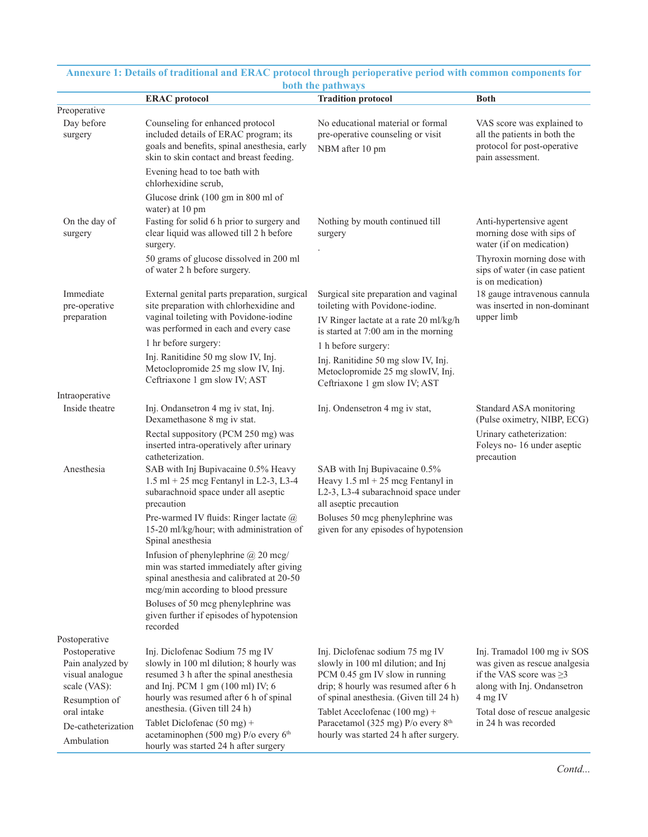|                                                                                       | <b>ERAC</b> protocol                                                                                                                                                                                | vour ure paurways<br><b>Tradition protocol</b>                                                                                                                                                                                                                                                                                    | <b>Both</b>                                                                                                                                                           |
|---------------------------------------------------------------------------------------|-----------------------------------------------------------------------------------------------------------------------------------------------------------------------------------------------------|-----------------------------------------------------------------------------------------------------------------------------------------------------------------------------------------------------------------------------------------------------------------------------------------------------------------------------------|-----------------------------------------------------------------------------------------------------------------------------------------------------------------------|
| Preoperative                                                                          |                                                                                                                                                                                                     |                                                                                                                                                                                                                                                                                                                                   |                                                                                                                                                                       |
| Day before<br>surgery                                                                 | Counseling for enhanced protocol<br>included details of ERAC program; its<br>goals and benefits, spinal anesthesia, early<br>skin to skin contact and breast feeding.                               | No educational material or formal<br>pre-operative counseling or visit<br>NBM after 10 pm                                                                                                                                                                                                                                         | VAS score was explained to<br>all the patients in both the<br>protocol for post-operative<br>pain assessment.                                                         |
|                                                                                       | Evening head to toe bath with<br>chlorhexidine scrub,                                                                                                                                               |                                                                                                                                                                                                                                                                                                                                   |                                                                                                                                                                       |
|                                                                                       | Glucose drink (100 gm in 800 ml of<br>water) at 10 pm                                                                                                                                               |                                                                                                                                                                                                                                                                                                                                   |                                                                                                                                                                       |
| On the day of<br>surgery                                                              | Fasting for solid 6 h prior to surgery and<br>clear liquid was allowed till 2 h before<br>surgery.                                                                                                  | Nothing by mouth continued till<br>surgery                                                                                                                                                                                                                                                                                        | Anti-hypertensive agent<br>morning dose with sips of<br>water (if on medication)<br>Thyroxin morning dose with<br>sips of water (in case patient<br>is on medication) |
|                                                                                       | 50 grams of glucose dissolved in 200 ml<br>of water 2 h before surgery.                                                                                                                             |                                                                                                                                                                                                                                                                                                                                   |                                                                                                                                                                       |
| Immediate<br>pre-operative                                                            | External genital parts preparation, surgical<br>site preparation with chlorhexidine and                                                                                                             | Surgical site preparation and vaginal<br>toileting with Povidone-iodine.                                                                                                                                                                                                                                                          | 18 gauge intravenous cannula<br>was inserted in non-dominant<br>upper limb                                                                                            |
| preparation                                                                           | vaginal toileting with Povidone-iodine<br>was performed in each and every case                                                                                                                      | IV Ringer lactate at a rate 20 ml/kg/h<br>is started at 7:00 am in the morning                                                                                                                                                                                                                                                    |                                                                                                                                                                       |
|                                                                                       | 1 hr before surgery:                                                                                                                                                                                | 1 h before surgery:                                                                                                                                                                                                                                                                                                               |                                                                                                                                                                       |
|                                                                                       | Inj. Ranitidine 50 mg slow IV, Inj.<br>Metoclopromide 25 mg slow IV, Inj.<br>Ceftriaxone 1 gm slow IV; AST                                                                                          | Inj. Ranitidine 50 mg slow IV, Inj.<br>Metoclopromide 25 mg slowIV, Inj.<br>Ceftriaxone 1 gm slow IV; AST                                                                                                                                                                                                                         |                                                                                                                                                                       |
| Intraoperative                                                                        |                                                                                                                                                                                                     |                                                                                                                                                                                                                                                                                                                                   |                                                                                                                                                                       |
| Inside theatre                                                                        | Inj. Ondansetron 4 mg iv stat, Inj.<br>Dexamethasone 8 mg iv stat.                                                                                                                                  | Inj. Ondensetron 4 mg iv stat,                                                                                                                                                                                                                                                                                                    | Standard ASA monitoring<br>(Pulse oximetry, NIBP, ECG)                                                                                                                |
|                                                                                       | Rectal suppository (PCM 250 mg) was<br>inserted intra-operatively after urinary<br>catheterization.                                                                                                 |                                                                                                                                                                                                                                                                                                                                   | Urinary catheterization:<br>Foleys no- 16 under aseptic<br>precaution                                                                                                 |
| Anesthesia                                                                            | SAB with Inj Bupivacaine 0.5% Heavy<br>$1.5$ ml + 25 mcg Fentanyl in L2-3, L3-4<br>subarachnoid space under all aseptic<br>precaution                                                               | SAB with Inj Bupivacaine 0.5%<br>Heavy $1.5$ ml + 25 mcg Fentanyl in<br>L2-3, L3-4 subarachnoid space under<br>all aseptic precaution                                                                                                                                                                                             |                                                                                                                                                                       |
|                                                                                       | Pre-warmed IV fluids: Ringer lactate @<br>15-20 ml/kg/hour; with administration of<br>Spinal anesthesia                                                                                             | Boluses 50 mcg phenylephrine was<br>given for any episodes of hypotension                                                                                                                                                                                                                                                         |                                                                                                                                                                       |
|                                                                                       | Infusion of phenylephrine $@$ 20 mcg/<br>min was started immediately after giving<br>spinal anesthesia and calibrated at 20-50<br>mcg/min according to blood pressure                               |                                                                                                                                                                                                                                                                                                                                   |                                                                                                                                                                       |
|                                                                                       | Boluses of 50 mcg phenylephrine was<br>given further if episodes of hypotension<br>recorded                                                                                                         |                                                                                                                                                                                                                                                                                                                                   |                                                                                                                                                                       |
| Postoperative                                                                         |                                                                                                                                                                                                     |                                                                                                                                                                                                                                                                                                                                   |                                                                                                                                                                       |
| Postoperative<br>Pain analyzed by<br>visual analogue<br>scale (VAS):<br>Resumption of | Inj. Diclofenac Sodium 75 mg IV<br>slowly in 100 ml dilution; 8 hourly was<br>resumed 3 h after the spinal anesthesia<br>and Inj. PCM 1 gm (100 ml) IV; 6<br>hourly was resumed after 6 h of spinal | Inj. Diclofenac sodium 75 mg IV<br>slowly in 100 ml dilution; and Inj<br>PCM 0.45 gm IV slow in running<br>drip; 8 hourly was resumed after 6 h<br>of spinal anesthesia. (Given till 24 h)<br>Tablet Aceclofenac $(100 \text{ mg}) +$<br>Paracetamol (325 mg) P/o every 8 <sup>th</sup><br>hourly was started 24 h after surgery. | Inj. Tramadol 100 mg iv SOS<br>was given as rescue analgesia<br>if the VAS score was $\geq$ 3<br>along with Inj. Ondansetron<br>4 mg IV                               |
| oral intake                                                                           | anesthesia. (Given till 24 h)                                                                                                                                                                       |                                                                                                                                                                                                                                                                                                                                   | Total dose of rescue analgesic                                                                                                                                        |
| De-catheterization<br>Ambulation                                                      | Tablet Diclofenac $(50 \text{ mg}) +$<br>acetaminophen (500 mg) P/o every 6 <sup>th</sup><br>hourly was started 24 h after surgery                                                                  |                                                                                                                                                                                                                                                                                                                                   | in 24 h was recorded                                                                                                                                                  |

## **Annexure 1: Details of traditional and ERAC protocol through perioperative period with common components for both the pathways**